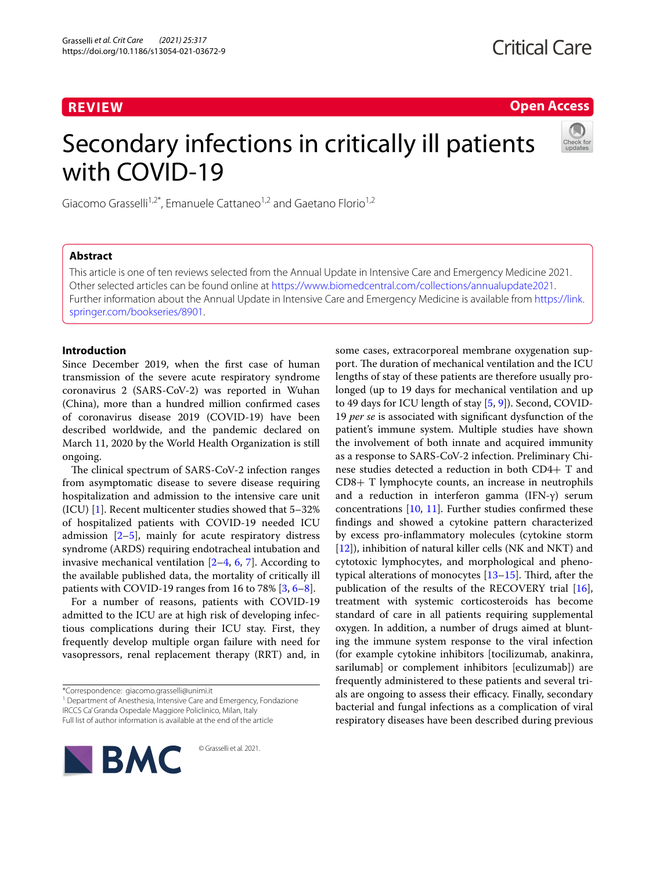# **REVIEW**

**Open Access**

# Secondary infections in critically ill patients with COVID-19



Giacomo Grasselli<sup>1,2\*</sup>, Emanuele Cattaneo<sup>1,2</sup> and Gaetano Florio<sup>1,2</sup>

# **Abstract**

This article is one of ten reviews selected from the Annual Update in Intensive Care and Emergency Medicine 2021. Other selected articles can be found online at <https://www.biomedcentral.com/collections/annualupdate2021>. Further information about the Annual Update in Intensive Care and Emergency Medicine is available from [https://link.](https://link.springer.com/bookseries/8901) [springer.com/bookseries/8901.](https://link.springer.com/bookseries/8901)

# **Introduction**

Since December 2019, when the frst case of human transmission of the severe acute respiratory syndrome coronavirus 2 (SARS-CoV-2) was reported in Wuhan (China), more than a hundred million confrmed cases of coronavirus disease 2019 (COVID-19) have been described worldwide, and the pandemic declared on March 11, 2020 by the World Health Organization is still ongoing.

The clinical spectrum of SARS-CoV-2 infection ranges from asymptomatic disease to severe disease requiring hospitalization and admission to the intensive care unit (ICU) [\[1](#page-4-0)]. Recent multicenter studies showed that 5–32% of hospitalized patients with COVID-19 needed ICU admission [\[2](#page-4-1)[–5](#page-4-2)], mainly for acute respiratory distress syndrome (ARDS) requiring endotracheal intubation and invasive mechanical ventilation  $[2-4, 6, 7]$  $[2-4, 6, 7]$  $[2-4, 6, 7]$  $[2-4, 6, 7]$  $[2-4, 6, 7]$  $[2-4, 6, 7]$  $[2-4, 6, 7]$ . According to the available published data, the mortality of critically ill patients with COVID-19 ranges from 16 to 78% [\[3](#page-4-6), [6](#page-4-4)[–8](#page-4-7)].

For a number of reasons, patients with COVID-19 admitted to the ICU are at high risk of developing infectious complications during their ICU stay. First, they frequently develop multiple organ failure with need for vasopressors, renal replacement therapy (RRT) and, in

\*Correspondence: giacomo.grasselli@unimi.it

<sup>1</sup> Department of Anesthesia, Intensive Care and Emergency, Fondazione IRCCS Ca' Granda Ospedale Maggiore Policlinico, Milan, Italy Full list of author information is available at the end of the article

© Grasselli et al. 2021.

**BMC** 

some cases, extracorporeal membrane oxygenation support. The duration of mechanical ventilation and the ICU lengths of stay of these patients are therefore usually prolonged (up to 19 days for mechanical ventilation and up to 49 days for ICU length of stay [[5,](#page-4-2) [9](#page-4-8)]). Second, COVID-19 *per se* is associated with signifcant dysfunction of the patient's immune system. Multiple studies have shown the involvement of both innate and acquired immunity as a response to SARS-CoV-2 infection. Preliminary Chinese studies detected a reduction in both CD4+ T and CD8+ T lymphocyte counts, an increase in neutrophils and a reduction in interferon gamma (IFN-γ) serum concentrations [[10,](#page-4-9) [11](#page-4-10)]. Further studies confrmed these fndings and showed a cytokine pattern characterized by excess pro-infammatory molecules (cytokine storm [[12\]](#page-4-11)), inhibition of natural killer cells (NK and NKT) and cytotoxic lymphocytes, and morphological and phenotypical alterations of monocytes  $[13-15]$  $[13-15]$ . Third, after the publication of the results of the RECOVERY trial [\[16](#page-4-14)], treatment with systemic corticosteroids has become standard of care in all patients requiring supplemental oxygen. In addition, a number of drugs aimed at blunting the immune system response to the viral infection (for example cytokine inhibitors [tocilizumab, anakinra, sarilumab] or complement inhibitors [eculizumab]) are frequently administered to these patients and several trials are ongoing to assess their efficacy. Finally, secondary bacterial and fungal infections as a complication of viral respiratory diseases have been described during previous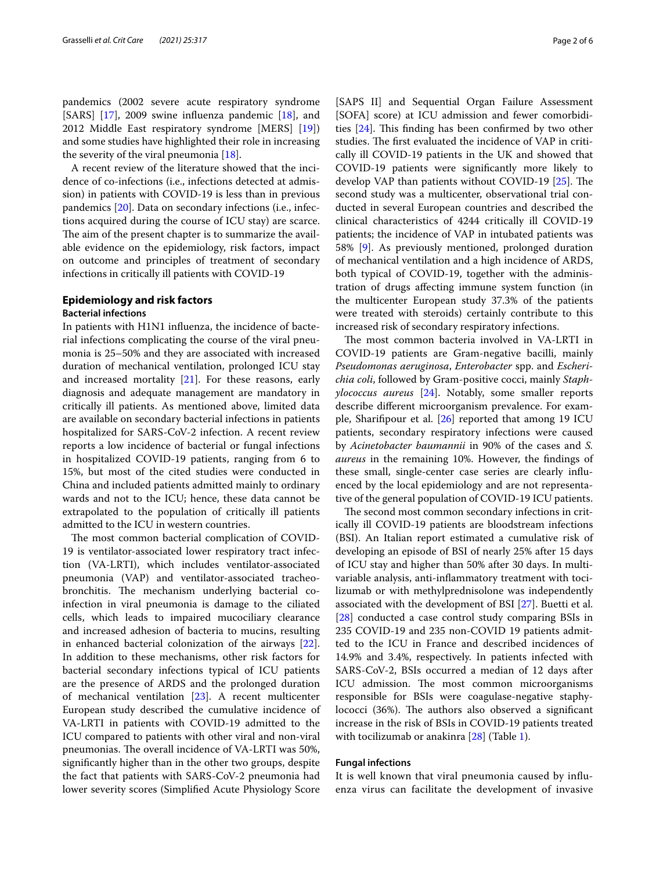pandemics (2002 severe acute respiratory syndrome [SARS] [[17\]](#page-4-15), 2009 swine influenza pandemic [[18\]](#page-4-16), and 2012 Middle East respiratory syndrome [MERS] [\[19](#page-4-17)]) and some studies have highlighted their role in increasing the severity of the viral pneumonia [\[18](#page-4-16)].

A recent review of the literature showed that the incidence of co-infections (i.e., infections detected at admission) in patients with COVID-19 is less than in previous pandemics [[20\]](#page-4-18). Data on secondary infections (i.e., infections acquired during the course of ICU stay) are scarce. The aim of the present chapter is to summarize the available evidence on the epidemiology, risk factors, impact on outcome and principles of treatment of secondary infections in critically ill patients with COVID-19

# **Epidemiology and risk factors**

# **Bacterial infections**

In patients with H1N1 infuenza, the incidence of bacterial infections complicating the course of the viral pneumonia is 25–50% and they are associated with increased duration of mechanical ventilation, prolonged ICU stay and increased mortality [[21\]](#page-4-19). For these reasons, early diagnosis and adequate management are mandatory in critically ill patients. As mentioned above, limited data are available on secondary bacterial infections in patients hospitalized for SARS-CoV-2 infection. A recent review reports a low incidence of bacterial or fungal infections in hospitalized COVID-19 patients, ranging from 6 to 15%, but most of the cited studies were conducted in China and included patients admitted mainly to ordinary wards and not to the ICU; hence, these data cannot be extrapolated to the population of critically ill patients admitted to the ICU in western countries.

The most common bacterial complication of COVID-19 is ventilator-associated lower respiratory tract infection (VA-LRTI), which includes ventilator-associated pneumonia (VAP) and ventilator-associated tracheobronchitis. The mechanism underlying bacterial coinfection in viral pneumonia is damage to the ciliated cells, which leads to impaired mucociliary clearance and increased adhesion of bacteria to mucins, resulting in enhanced bacterial colonization of the airways [\[22](#page-4-20)]. In addition to these mechanisms, other risk factors for bacterial secondary infections typical of ICU patients are the presence of ARDS and the prolonged duration of mechanical ventilation [[23\]](#page-4-21). A recent multicenter European study described the cumulative incidence of VA-LRTI in patients with COVID-19 admitted to the ICU compared to patients with other viral and non-viral pneumonias. The overall incidence of VA-LRTI was 50%, signifcantly higher than in the other two groups, despite the fact that patients with SARS-CoV-2 pneumonia had lower severity scores (Simplifed Acute Physiology Score

[SAPS II] and Sequential Organ Failure Assessment [SOFA] score) at ICU admission and fewer comorbidities  $[24]$  $[24]$ . This finding has been confirmed by two other studies. The first evaluated the incidence of VAP in critically ill COVID-19 patients in the UK and showed that COVID-19 patients were signifcantly more likely to develop VAP than patients without COVID-19  $[25]$  $[25]$ . The second study was a multicenter, observational trial conducted in several European countries and described the clinical characteristics of 4244 critically ill COVID-19 patients; the incidence of VAP in intubated patients was 58% [\[9\]](#page-4-8). As previously mentioned, prolonged duration of mechanical ventilation and a high incidence of ARDS, both typical of COVID-19, together with the administration of drugs afecting immune system function (in the multicenter European study 37.3% of the patients were treated with steroids) certainly contribute to this increased risk of secondary respiratory infections.

The most common bacteria involved in VA-LRTI in COVID-19 patients are Gram-negative bacilli, mainly *Pseudomonas aeruginosa*, *Enterobacter* spp. and *Escherichia coli*, followed by Gram-positive cocci, mainly *Staphylococcus aureus* [[24\]](#page-4-22). Notably, some smaller reports describe diferent microorganism prevalence. For example, Sharifpour et al. [\[26](#page-5-1)] reported that among 19 ICU patients, secondary respiratory infections were caused by *Acinetobacter baumannii* in 90% of the cases and *S. aureus* in the remaining 10%. However, the fndings of these small, single-center case series are clearly infuenced by the local epidemiology and are not representative of the general population of COVID-19 ICU patients.

The second most common secondary infections in critically ill COVID-19 patients are bloodstream infections (BSI). An Italian report estimated a cumulative risk of developing an episode of BSI of nearly 25% after 15 days of ICU stay and higher than 50% after 30 days. In multivariable analysis, anti-infammatory treatment with tocilizumab or with methylprednisolone was independently associated with the development of BSI [\[27](#page-5-2)]. Buetti et al. [[28\]](#page-5-3) conducted a case control study comparing BSIs in 235 COVID-19 and 235 non-COVID 19 patients admitted to the ICU in France and described incidences of 14.9% and 3.4%, respectively. In patients infected with SARS-CoV-2, BSIs occurred a median of 12 days after ICU admission. The most common microorganisms responsible for BSIs were coagulase-negative staphylococci (36%). The authors also observed a significant increase in the risk of BSIs in COVID-19 patients treated with tocilizumab or anakinra  $[28]$  $[28]$  (Table [1](#page-2-0)).

## **Fungal infections**

It is well known that viral pneumonia caused by infuenza virus can facilitate the development of invasive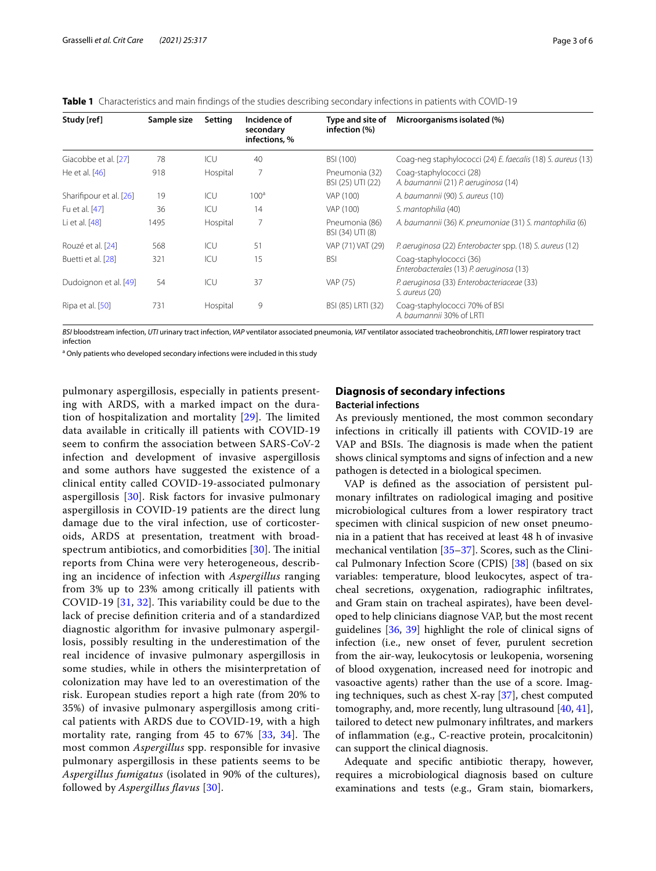<span id="page-2-0"></span>

|  |  | <b>Table 1</b> Characteristics and main findings of the studies describing secondary infections in patients with COVID-19 |
|--|--|---------------------------------------------------------------------------------------------------------------------------|
|  |  |                                                                                                                           |

| Study [ref]             | Sample size | Setting  | Incidence of<br>secondary<br>infections, % | Type and site of<br>infection (%)   | Microorganisms isolated (%)                                         |
|-------------------------|-------------|----------|--------------------------------------------|-------------------------------------|---------------------------------------------------------------------|
| Giacobbe et al. [27]    | 78          | ICU      | 40                                         | BSI (100)                           | Coag-neg staphylococci (24) E. faecalis (18) S. aureus (13)         |
| He et al. [46]          | 918         | Hospital |                                            | Pneumonia (32)<br>BSI (25) UTI (22) | Coag-staphylococci (28)<br>A. baumannii (21) P. aeruginosa (14)     |
| Sharifipour et al. [26] | 19          | ICU      | 100 <sup>a</sup>                           | VAP (100)                           | A. baumannii (90) S. aureus (10)                                    |
| Fu et al. [47]          | 36          | ICU      | 14                                         | VAP (100)                           | S. mantophilia (40)                                                 |
| Li et al. [48]          | 1495        | Hospital | 7                                          | Pneumonia (86)<br>BSI (34) UTI (8)  | A. baumannii (36) K. pneumoniae (31) S. mantophilia (6)             |
| Rouzé et al. [24]       | 568         | ICU      | 51                                         | VAP (71) VAT (29)                   | P. aeruginosa (22) Enterobacter spp. (18) S. aureus (12)            |
| Buetti et al. [28]      | 321         | ICU      | 15                                         | <b>BSI</b>                          | Coag-staphylococci (36)<br>Enterobacterales (13) P. aeruginosa (13) |
| Dudoignon et al. [49]   | 54          | ICU      | 37                                         | VAP (75)                            | P. aeruginosa (33) Enterobacteriaceae (33)<br>S. aureus (20)        |
| Ripa et al. [50]        | 731         | Hospital | 9                                          | BSI (85) LRTI (32)                  | Coag-staphylococci 70% of BSI<br>A. baumannii 30% of LRTL           |

*BSI* bloodstream infection, *UTI* urinary tract infection, *VAP* ventilator associated pneumonia, *VAT* ventilator associated tracheobronchitis, *LRTI* lower respiratory tract infection

<sup>a</sup> Only patients who developed secondary infections were included in this study

pulmonary aspergillosis, especially in patients presenting with ARDS, with a marked impact on the duration of hospitalization and mortality  $[29]$  $[29]$ . The limited data available in critically ill patients with COVID-19 seem to confrm the association between SARS-CoV-2 infection and development of invasive aspergillosis and some authors have suggested the existence of a clinical entity called COVID-19-associated pulmonary aspergillosis [[30\]](#page-5-5). Risk factors for invasive pulmonary aspergillosis in COVID-19 patients are the direct lung damage due to the viral infection, use of corticosteroids, ARDS at presentation, treatment with broadspectrum antibiotics, and comorbidities  $[30]$  $[30]$  $[30]$ . The initial reports from China were very heterogeneous, describing an incidence of infection with *Aspergillus* ranging from 3% up to 23% among critically ill patients with COVID-19  $[31, 32]$  $[31, 32]$  $[31, 32]$ . This variability could be due to the lack of precise defnition criteria and of a standardized diagnostic algorithm for invasive pulmonary aspergillosis, possibly resulting in the underestimation of the real incidence of invasive pulmonary aspergillosis in some studies, while in others the misinterpretation of colonization may have led to an overestimation of the risk. European studies report a high rate (from 20% to 35%) of invasive pulmonary aspergillosis among critical patients with ARDS due to COVID-19, with a high mortality rate, ranging from  $45$  to  $67\%$   $[33, 34]$  $[33, 34]$  $[33, 34]$  $[33, 34]$ . The most common *Aspergillus* spp. responsible for invasive pulmonary aspergillosis in these patients seems to be *Aspergillus fumigatus* (isolated in 90% of the cultures), followed by *Aspergillus favus* [\[30](#page-5-5)].

# **Diagnosis of secondary infections Bacterial infections**

As previously mentioned, the most common secondary infections in critically ill patients with COVID-19 are VAP and BSIs. The diagnosis is made when the patient shows clinical symptoms and signs of infection and a new pathogen is detected in a biological specimen.

VAP is defned as the association of persistent pulmonary infltrates on radiological imaging and positive microbiological cultures from a lower respiratory tract specimen with clinical suspicion of new onset pneumonia in a patient that has received at least 48 h of invasive mechanical ventilation [[35–](#page-5-10)[37\]](#page-5-11). Scores, such as the Clinical Pulmonary Infection Score (CPIS) [\[38](#page-5-12)] (based on six variables: temperature, blood leukocytes, aspect of tracheal secretions, oxygenation, radiographic infltrates, and Gram stain on tracheal aspirates), have been developed to help clinicians diagnose VAP, but the most recent guidelines [[36,](#page-5-13) [39](#page-5-14)] highlight the role of clinical signs of infection (i.e., new onset of fever, purulent secretion from the air-way, leukocytosis or leukopenia, worsening of blood oxygenation, increased need for inotropic and vasoactive agents) rather than the use of a score. Imaging techniques, such as chest X-ray [\[37](#page-5-11)], chest computed tomography, and, more recently, lung ultrasound [[40,](#page-5-15) [41](#page-5-16)], tailored to detect new pulmonary infltrates, and markers of infammation (e.g., C-reactive protein, procalcitonin) can support the clinical diagnosis.

Adequate and specifc antibiotic therapy, however, requires a microbiological diagnosis based on culture examinations and tests (e.g., Gram stain, biomarkers,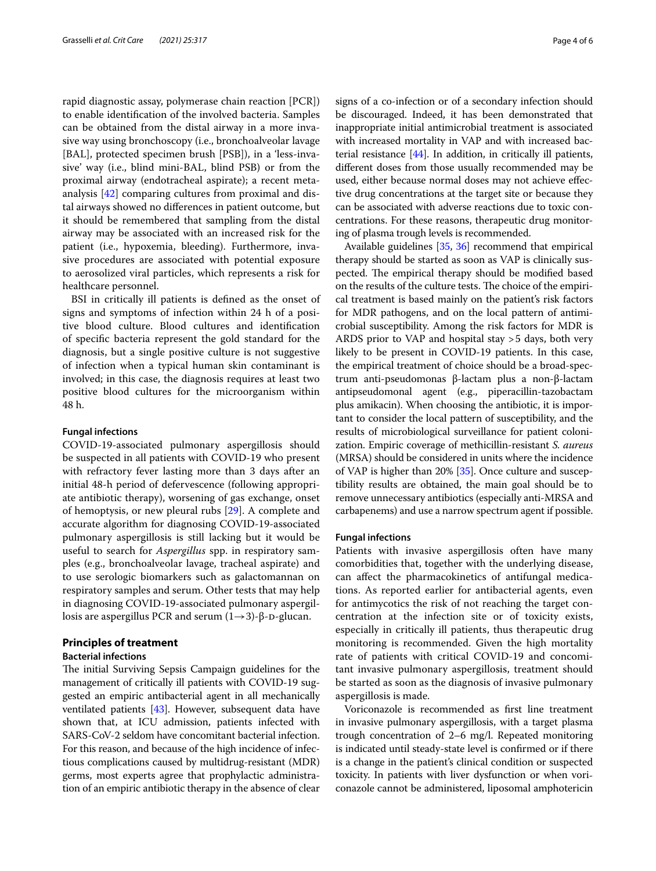rapid diagnostic assay, polymerase chain reaction [PCR]) to enable identifcation of the involved bacteria. Samples can be obtained from the distal airway in a more invasive way using bronchoscopy (i.e., bronchoalveolar lavage [BAL], protected specimen brush [PSB]), in a 'less-invasive' way (i.e., blind mini-BAL, blind PSB) or from the proximal airway (endotracheal aspirate); a recent metaanalysis [[42\]](#page-5-22) comparing cultures from proximal and distal airways showed no diferences in patient outcome, but it should be remembered that sampling from the distal airway may be associated with an increased risk for the patient (i.e., hypoxemia, bleeding). Furthermore, invasive procedures are associated with potential exposure to aerosolized viral particles, which represents a risk for healthcare personnel.

BSI in critically ill patients is defned as the onset of signs and symptoms of infection within 24 h of a positive blood culture. Blood cultures and identifcation of specifc bacteria represent the gold standard for the diagnosis, but a single positive culture is not suggestive of infection when a typical human skin contaminant is involved; in this case, the diagnosis requires at least two positive blood cultures for the microorganism within 48 h.

### **Fungal infections**

COVID-19-associated pulmonary aspergillosis should be suspected in all patients with COVID-19 who present with refractory fever lasting more than 3 days after an initial 48-h period of defervescence (following appropriate antibiotic therapy), worsening of gas exchange, onset of hemoptysis, or new pleural rubs [[29\]](#page-5-4). A complete and accurate algorithm for diagnosing COVID-19-associated pulmonary aspergillosis is still lacking but it would be useful to search for *Aspergillus* spp. in respiratory samples (e.g., bronchoalveolar lavage, tracheal aspirate) and to use serologic biomarkers such as galactomannan on respiratory samples and serum. Other tests that may help in diagnosing COVID-19-associated pulmonary aspergillosis are aspergillus PCR and serum  $(1\rightarrow 3)$ -β-D-glucan.

## **Principles of treatment**

## **Bacterial infections**

The initial Surviving Sepsis Campaign guidelines for the management of critically ill patients with COVID-19 suggested an empiric antibacterial agent in all mechanically ventilated patients [[43](#page-5-23)]. However, subsequent data have shown that, at ICU admission, patients infected with SARS-CoV-2 seldom have concomitant bacterial infection. For this reason, and because of the high incidence of infectious complications caused by multidrug-resistant (MDR) germs, most experts agree that prophylactic administration of an empiric antibiotic therapy in the absence of clear signs of a co-infection or of a secondary infection should be discouraged. Indeed, it has been demonstrated that inappropriate initial antimicrobial treatment is associated with increased mortality in VAP and with increased bacterial resistance [[44\]](#page-5-24). In addition, in critically ill patients, diferent doses from those usually recommended may be used, either because normal doses may not achieve efective drug concentrations at the target site or because they can be associated with adverse reactions due to toxic concentrations. For these reasons, therapeutic drug monitoring of plasma trough levels is recommended.

Available guidelines [\[35,](#page-5-10) [36\]](#page-5-13) recommend that empirical therapy should be started as soon as VAP is clinically suspected. The empirical therapy should be modified based on the results of the culture tests. The choice of the empirical treatment is based mainly on the patient's risk factors for MDR pathogens, and on the local pattern of antimicrobial susceptibility. Among the risk factors for MDR is ARDS prior to VAP and hospital stay >5 days, both very likely to be present in COVID-19 patients. In this case, the empirical treatment of choice should be a broad-spectrum anti-pseudomonas β-lactam plus a non-β-lactam antipseudomonal agent (e.g., piperacillin-tazobactam plus amikacin). When choosing the antibiotic, it is important to consider the local pattern of susceptibility, and the results of microbiological surveillance for patient colonization. Empiric coverage of methicillin-resistant *S. aureus* (MRSA) should be considered in units where the incidence of VAP is higher than 20% [\[35](#page-5-10)]. Once culture and susceptibility results are obtained, the main goal should be to remove unnecessary antibiotics (especially anti-MRSA and carbapenems) and use a narrow spectrum agent if possible.

## **Fungal infections**

Patients with invasive aspergillosis often have many comorbidities that, together with the underlying disease, can afect the pharmacokinetics of antifungal medications. As reported earlier for antibacterial agents, even for antimycotics the risk of not reaching the target concentration at the infection site or of toxicity exists, especially in critically ill patients, thus therapeutic drug monitoring is recommended. Given the high mortality rate of patients with critical COVID-19 and concomitant invasive pulmonary aspergillosis, treatment should be started as soon as the diagnosis of invasive pulmonary aspergillosis is made.

Voriconazole is recommended as frst line treatment in invasive pulmonary aspergillosis, with a target plasma trough concentration of 2–6 mg/l. Repeated monitoring is indicated until steady-state level is confrmed or if there is a change in the patient's clinical condition or suspected toxicity. In patients with liver dysfunction or when voriconazole cannot be administered, liposomal amphotericin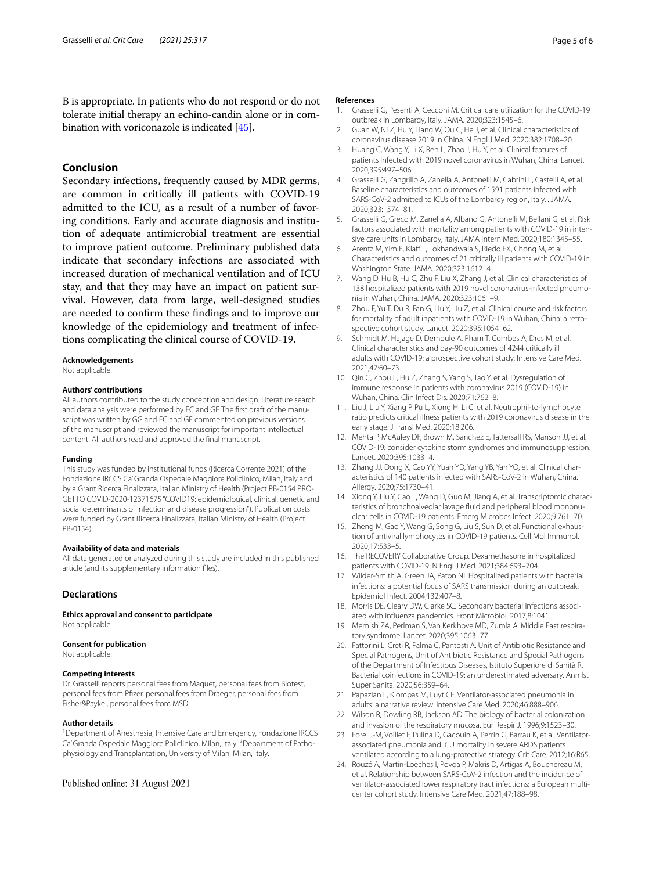B is appropriate. In patients who do not respond or do not tolerate initial therapy an echino-candin alone or in combination with voriconazole is indicated [\[45\]](#page-5-25).

# **Conclusion**

Secondary infections, frequently caused by MDR germs, are common in critically ill patients with COVID-19 admitted to the ICU, as a result of a number of favoring conditions. Early and accurate diagnosis and institution of adequate antimicrobial treatment are essential to improve patient outcome. Preliminary published data indicate that secondary infections are associated with increased duration of mechanical ventilation and of ICU stay, and that they may have an impact on patient survival. However, data from large, well-designed studies are needed to confrm these fndings and to improve our knowledge of the epidemiology and treatment of infections complicating the clinical course of COVID-19.

## **Acknowledgements**

Not applicable.

#### **Authors' contributions**

All authors contributed to the study conception and design. Literature search and data analysis were performed by EC and GF. The frst draft of the manuscript was written by GG and EC and GF commented on previous versions of the manuscript and reviewed the manuscript for important intellectual content. All authors read and approved the fnal manuscript.

#### **Funding**

This study was funded by institutional funds (Ricerca Corrente 2021) of the Fondazione IRCCS Ca' Granda Ospedale Maggiore Policlinico, Milan, Italy and by a Grant Ricerca Finalizzata, Italian Ministry of Health (Project PB-0154 PRO-GETTO COVID-2020-12371675 "COVID19: epidemiological, clinical, genetic and social determinants of infection and disease progression"). Publication costs were funded by Grant Ricerca Finalizzata, Italian Ministry of Health (Project PB-0154).

#### **Availability of data and materials**

All data generated or analyzed during this study are included in this published article (and its supplementary information fles).

## **Declarations**

**Ethics approval and consent to participate** Not applicable.

#### **Consent for publication**

Not applicable.

#### **Competing interests**

Dr. Grasselli reports personal fees from Maquet, personal fees from Biotest, personal fees from Pfzer, personal fees from Draeger, personal fees from Fisher&Paykel, personal fees from MSD.

#### **Author details**

<sup>1</sup> Department of Anesthesia, Intensive Care and Emergency, Fondazione IRCCS Ca' Granda Ospedale Maggiore Policlinico, Milan, Italy. <sup>2</sup> Department of Pathophysiology and Transplantation, University of Milan, Milan, Italy.

#### Published online: 31 August 2021

#### **References**

- <span id="page-4-0"></span>1. Grasselli G, Pesenti A, Cecconi M. Critical care utilization for the COVID-19 outbreak in Lombardy, Italy. JAMA. 2020;323:1545–6.
- <span id="page-4-1"></span>2. Guan W, Ni Z, Hu Y, Liang W, Ou C, He J, et al. Clinical characteristics of coronavirus disease 2019 in China. N Engl J Med. 2020;382:1708–20.
- <span id="page-4-6"></span>3. Huang C, Wang Y, Li X, Ren L, Zhao J, Hu Y, et al. Clinical features of patients infected with 2019 novel coronavirus in Wuhan, China. Lancet. 2020;395:497–506.
- <span id="page-4-3"></span>4. Grasselli G, Zangrillo A, Zanella A, Antonelli M, Cabrini L, Castelli A, et al. Baseline characteristics and outcomes of 1591 patients infected with SARS-CoV-2 admitted to ICUs of the Lombardy region, Italy. . JAMA. 2020;323:1574–81.
- <span id="page-4-2"></span>5. Grasselli G, Greco M, Zanella A, Albano G, Antonelli M, Bellani G, et al. Risk factors associated with mortality among patients with COVID-19 in intensive care units in Lombardy, Italy. JAMA Intern Med. 2020;180:1345–55.
- <span id="page-4-4"></span>6. Arentz M, Yim E, Klaff L, Lokhandwala S, Riedo FX, Chong M, et al. Characteristics and outcomes of 21 critically ill patients with COVID-19 in Washington State. JAMA. 2020;323:1612–4.
- <span id="page-4-5"></span>7. Wang D, Hu B, Hu C, Zhu F, Liu X, Zhang J, et al. Clinical characteristics of 138 hospitalized patients with 2019 novel coronavirus-infected pneumonia in Wuhan, China. JAMA. 2020;323:1061–9.
- <span id="page-4-7"></span>8. Zhou F, Yu T, Du R, Fan G, Liu Y, Liu Z, et al. Clinical course and risk factors for mortality of adult inpatients with COVID-19 in Wuhan, China: a retrospective cohort study. Lancet. 2020;395:1054–62.
- <span id="page-4-8"></span>9. Schmidt M, Hajage D, Demoule A, Pham T, Combes A, Dres M, et al. Clinical characteristics and day-90 outcomes of 4244 critically ill adults with COVID-19: a prospective cohort study. Intensive Care Med. 2021;47:60–73.
- <span id="page-4-9"></span>10. Qin C, Zhou L, Hu Z, Zhang S, Yang S, Tao Y, et al. Dysregulation of immune response in patients with coronavirus 2019 (COVID-19) in Wuhan, China. Clin Infect Dis. 2020;71:762–8.
- <span id="page-4-10"></span>11. Liu J, Liu Y, Xiang P, Pu L, Xiong H, Li C, et al. Neutrophil-to-lymphocyte ratio predicts critical illness patients with 2019 coronavirus disease in the early stage. J Transl Med. 2020;18:206.
- <span id="page-4-11"></span>12. Mehta P, McAuley DF, Brown M, Sanchez E, Tattersall RS, Manson JJ, et al. COVID-19: consider cytokine storm syndromes and immunosuppression. Lancet. 2020;395:1033–4.
- <span id="page-4-12"></span>13. Zhang JJ, Dong X, Cao YY, Yuan YD, Yang YB, Yan YQ, et al. Clinical characteristics of 140 patients infected with SARS-CoV-2 in Wuhan, China. Allergy. 2020;75:1730–41.
- 14. Xiong Y, Liu Y, Cao L, Wang D, Guo M, Jiang A, et al. Transcriptomic characteristics of bronchoalveolar lavage fuid and peripheral blood mononuclear cells in COVID-19 patients. Emerg Microbes Infect. 2020;9:761–70.
- <span id="page-4-13"></span>15. Zheng M, Gao Y, Wang G, Song G, Liu S, Sun D, et al. Functional exhaustion of antiviral lymphocytes in COVID-19 patients. Cell Mol Immunol. 2020;17:533–5.
- <span id="page-4-14"></span>16. The RECOVERY Collaborative Group. Dexamethasone in hospitalized patients with COVID-19. N Engl J Med. 2021;384:693–704.
- <span id="page-4-15"></span>17. Wilder-Smith A, Green JA, Paton NI. Hospitalized patients with bacterial infections: a potential focus of SARS transmission during an outbreak. Epidemiol Infect. 2004;132:407–8.
- <span id="page-4-16"></span>18. Morris DE, Cleary DW, Clarke SC. Secondary bacterial infections associated with infuenza pandemics. Front Microbiol. 2017;8:1041.
- <span id="page-4-17"></span>19. Memish ZA, Perlman S, Van Kerkhove MD, Zumla A. Middle East respiratory syndrome. Lancet. 2020;395:1063–77.
- <span id="page-4-18"></span>20. Fattorini L, Creti R, Palma C, Pantosti A. Unit of Antibiotic Resistance and Special Pathogens, Unit of Antibiotic Resistance and Special Pathogens of the Department of Infectious Diseases, Istituto Superiore di Sanità R. Bacterial coinfections in COVID-19: an underestimated adversary. Ann Ist Super Sanita. 2020;56:359–64.
- <span id="page-4-19"></span>21. Papazian L, Klompas M, Luyt CE. Ventilator-associated pneumonia in adults: a narrative review. Intensive Care Med. 2020;46:888–906.
- <span id="page-4-20"></span>22. Wilson R, Dowling RB, Jackson AD. The biology of bacterial colonization and invasion of the respiratory mucosa. Eur Respir J. 1996;9:1523–30.
- <span id="page-4-21"></span>23. Forel J-M, Voillet F, Pulina D, Gacouin A, Perrin G, Barrau K, et al. Ventilatorassociated pneumonia and ICU mortality in severe ARDS patients ventilated according to a lung-protective strategy. Crit Care. 2012;16:R65.
- <span id="page-4-22"></span>24. Rouzé A, Martin-Loeches I, Povoa P, Makris D, Artigas A, Bouchereau M, et al. Relationship between SARS-CoV-2 infection and the incidence of ventilator-associated lower respiratory tract infections: a European multicenter cohort study. Intensive Care Med. 2021;47:188–98.